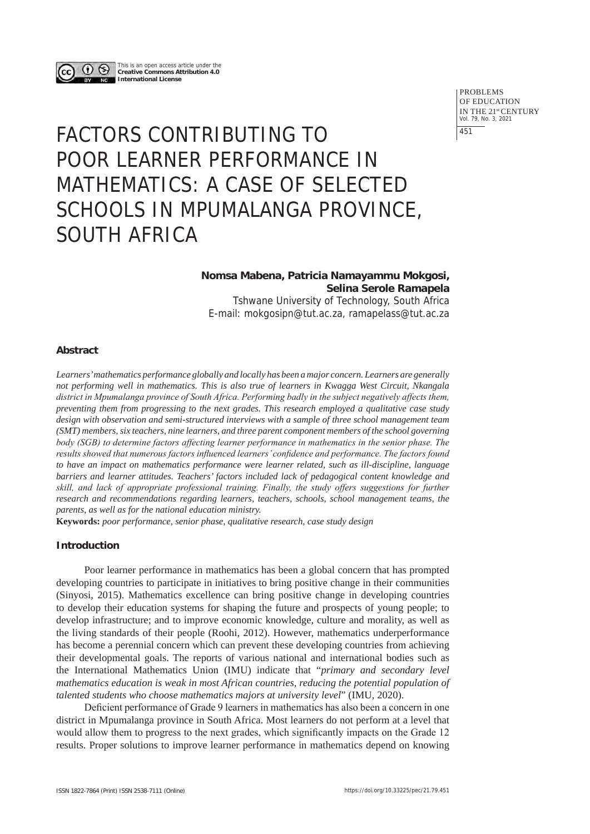

This is an open access article under the **Creative Commons Attribution 4.0 International License**

> PROBLEMS OF EDUCATION IN THE 21st CENTURY Vol. 79, No. 3, 2021 451

# FACTORS CONTRIBUTING TO POOR LEARNER PERFORMANCE IN MATHEMATICS: A CASE OF SELECTED SCHOOLS IN MPUMALANGA PROVINCE, SOUTH AFRICA

## **Nomsa Mabena, Patricia Namayammu Mokgosi, Selina Serole Ramapela**

Tshwane University of Technology, South Africa E-mail: mokgosipn@tut.ac.za, ramapelass@tut.ac.za

## **Abstract**

*Learners' mathematics performance globally and locally has been a major concern. Learners are generally not performing well in mathematics. This is also true of learners in Kwagga West Circuit, Nkangala district in Mpumalanga province of South Africa. Performing badly in the subject negatively affects them, preventing them from progressing to the next grades. This research employed a qualitative case study design with observation and semi-structured interviews with a sample of three school management team (SMT) members, six teachers, nine learners, and three parent component members of the school governing body (SGB) to determine factors affecting learner performance in mathematics in the senior phase. The results showed that numerous factors influenced learners' confidence and performance. The factors found to have an impact on mathematics performance were learner related, such as ill-discipline, language barriers and learner attitudes. Teachers' factors included lack of pedagogical content knowledge and skill, and lack of appropriate professional training. Finally, the study offers suggestions for further research and recommendations regarding learners, teachers, schools, school management teams, the parents, as well as for the national education ministry.*

**Keywords:** *poor performance, senior phase, qualitative research, case study design*

## **Introduction**

Poor learner performance in mathematics has been a global concern that has prompted developing countries to participate in initiatives to bring positive change in their communities (Sinyosi, 2015). Mathematics excellence can bring positive change in developing countries to develop their education systems for shaping the future and prospects of young people; to develop infrastructure; and to improve economic knowledge, culture and morality, as well as the living standards of their people (Roohi, 2012). However, mathematics underperformance has become a perennial concern which can prevent these developing countries from achieving their developmental goals. The reports of various national and international bodies such as the International Mathematics Union (IMU) indicate that "*primary and secondary level mathematics education is weak in most African countries, reducing the potential population of talented students who choose mathematics majors at university level*" (IMU, 2020).

Deficient performance of Grade 9 learners in mathematics has also been a concern in one district in Mpumalanga province in South Africa. Most learners do not perform at a level that would allow them to progress to the next grades, which significantly impacts on the Grade 12 results. Proper solutions to improve learner performance in mathematics depend on knowing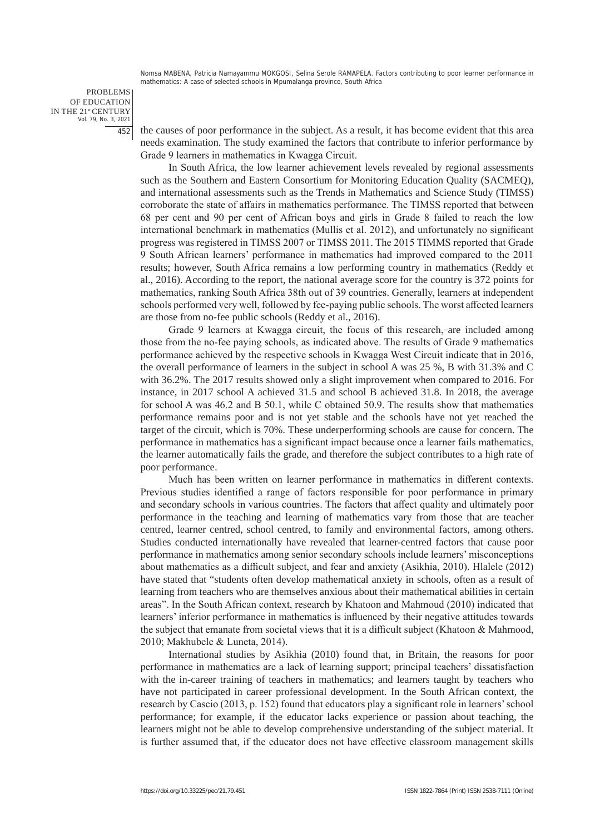PROBLEMS OF EDUCATION IN THE 21st CENTURY Vol. 79, No. 3, 2021 452

the causes of poor performance in the subject. As a result, it has become evident that this area needs examination. The study examined the factors that contribute to inferior performance by Grade 9 learners in mathematics in Kwagga Circuit.

In South Africa, the low learner achievement levels revealed by regional assessments such as the Southern and Eastern Consortium for Monitoring Education Quality (SACMEQ), and international assessments such as the Trends in Mathematics and Science Study (TIMSS) corroborate the state of affairs in mathematics performance. The TIMSS reported that between 68 per cent and 90 per cent of African boys and girls in Grade 8 failed to reach the low international benchmark in mathematics (Mullis et al. 2012), and unfortunately no significant progress was registered in TIMSS 2007 or TIMSS 2011. The 2015 TIMMS reported that Grade 9 South African learners' performance in mathematics had improved compared to the 2011 results; however, South Africa remains a low performing country in mathematics (Reddy et al., 2016). According to the report, the national average score for the country is 372 points for mathematics, ranking South Africa 38th out of 39 countries. Generally, learners at independent schools performed very well, followed by fee-paying public schools. The worst affected learners are those from no-fee public schools (Reddy et al., 2016).

Grade 9 learners at Kwagga circuit, the focus of this research, are included among those from the no-fee paying schools, as indicated above. The results of Grade 9 mathematics performance achieved by the respective schools in Kwagga West Circuit indicate that in 2016, the overall performance of learners in the subject in school A was 25 %, B with 31.3% and C with 36.2%. The 2017 results showed only a slight improvement when compared to 2016. For instance, in 2017 school A achieved 31.5 and school B achieved 31.8. In 2018, the average for school A was 46.2 and B 50.1, while C obtained 50.9. The results show that mathematics performance remains poor and is not yet stable and the schools have not yet reached the target of the circuit, which is 70%. These underperforming schools are cause for concern. The performance in mathematics has a significant impact because once a learner fails mathematics, the learner automatically fails the grade, and therefore the subject contributes to a high rate of poor performance.

Much has been written on learner performance in mathematics in different contexts. Previous studies identified a range of factors responsible for poor performance in primary and secondary schools in various countries. The factors that affect quality and ultimately poor performance in the teaching and learning of mathematics vary from those that are teacher centred, learner centred, school centred, to family and environmental factors, among others. Studies conducted internationally have revealed that learner-centred factors that cause poor performance in mathematics among senior secondary schools include learners' misconceptions about mathematics as a difficult subject, and fear and anxiety (Asikhia, 2010). Hlalele (2012) have stated that "students often develop mathematical anxiety in schools, often as a result of learning from teachers who are themselves anxious about their mathematical abilities in certain areas". In the South African context, research by Khatoon and Mahmoud (2010) indicated that learners' inferior performance in mathematics is influenced by their negative attitudes towards the subject that emanate from societal views that it is a difficult subject (Khatoon & Mahmood, 2010; Makhubele & Luneta, 2014).

International studies by Asikhia (2010) found that, in Britain, the reasons for poor performance in mathematics are a lack of learning support; principal teachers' dissatisfaction with the in-career training of teachers in mathematics; and learners taught by teachers who have not participated in career professional development. In the South African context, the research by Cascio (2013, p. 152) found that educators play a significant role in learners' school performance; for example, if the educator lacks experience or passion about teaching, the learners might not be able to develop comprehensive understanding of the subject material. It is further assumed that, if the educator does not have effective classroom management skills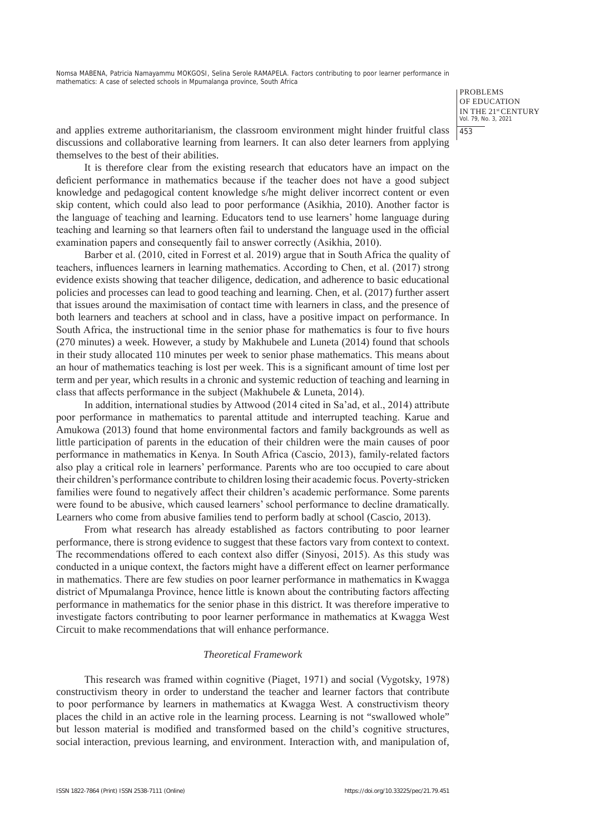> PROBLEMS OF EDUCATION IN THE 21st CENTURY Vol. 79, No. 3, 2021 453

and applies extreme authoritarianism, the classroom environment might hinder fruitful class discussions and collaborative learning from learners. It can also deter learners from applying themselves to the best of their abilities.

It is therefore clear from the existing research that educators have an impact on the deficient performance in mathematics because if the teacher does not have a good subject knowledge and pedagogical content knowledge s/he might deliver incorrect content or even skip content, which could also lead to poor performance (Asikhia, 2010). Another factor is the language of teaching and learning. Educators tend to use learners' home language during teaching and learning so that learners often fail to understand the language used in the official examination papers and consequently fail to answer correctly (Asikhia, 2010).

Barber et al. (2010, cited in Forrest et al. 2019) argue that in South Africa the quality of teachers, influences learners in learning mathematics. According to Chen, et al. (2017) strong evidence exists showing that teacher diligence, dedication, and adherence to basic educational policies and processes can lead to good teaching and learning. Chen, et al. (2017) further assert that issues around the maximisation of contact time with learners in class, and the presence of both learners and teachers at school and in class, have a positive impact on performance. In South Africa, the instructional time in the senior phase for mathematics is four to five hours (270 minutes) a week. However, a study by Makhubele and Luneta (2014) found that schools in their study allocated 110 minutes per week to senior phase mathematics. This means about an hour of mathematics teaching is lost per week. This is a significant amount of time lost per term and per year, which results in a chronic and systemic reduction of teaching and learning in class that affects performance in the subject (Makhubele & Luneta, 2014).

In addition, international studies by Attwood (2014 cited in Sa'ad, et al., 2014) attribute poor performance in mathematics to parental attitude and interrupted teaching. Karue and Amukowa (2013) found that home environmental factors and family backgrounds as well as little participation of parents in the education of their children were the main causes of poor performance in mathematics in Kenya. In South Africa (Cascio, 2013), family-related factors also play a critical role in learners' performance. Parents who are too occupied to care about their children's performance contribute to children losing their academic focus. Poverty-stricken families were found to negatively affect their children's academic performance. Some parents were found to be abusive, which caused learners' school performance to decline dramatically. Learners who come from abusive families tend to perform badly at school (Cascio, 2013).

From what research has already established as factors contributing to poor learner performance, there is strong evidence to suggest that these factors vary from context to context. The recommendations offered to each context also differ (Sinyosi, 2015). As this study was conducted in a unique context, the factors might have a different effect on learner performance in mathematics. There are few studies on poor learner performance in mathematics in Kwagga district of Mpumalanga Province, hence little is known about the contributing factors affecting performance in mathematics for the senior phase in this district. It was therefore imperative to investigate factors contributing to poor learner performance in mathematics at Kwagga West Circuit to make recommendations that will enhance performance.

## *Theoretical Framework*

This research was framed within cognitive (Piaget, 1971) and social (Vygotsky, 1978) constructivism theory in order to understand the teacher and learner factors that contribute to poor performance by learners in mathematics at Kwagga West. A constructivism theory places the child in an active role in the learning process. Learning is not "swallowed whole" but lesson material is modified and transformed based on the child's cognitive structures, social interaction, previous learning, and environment. Interaction with, and manipulation of,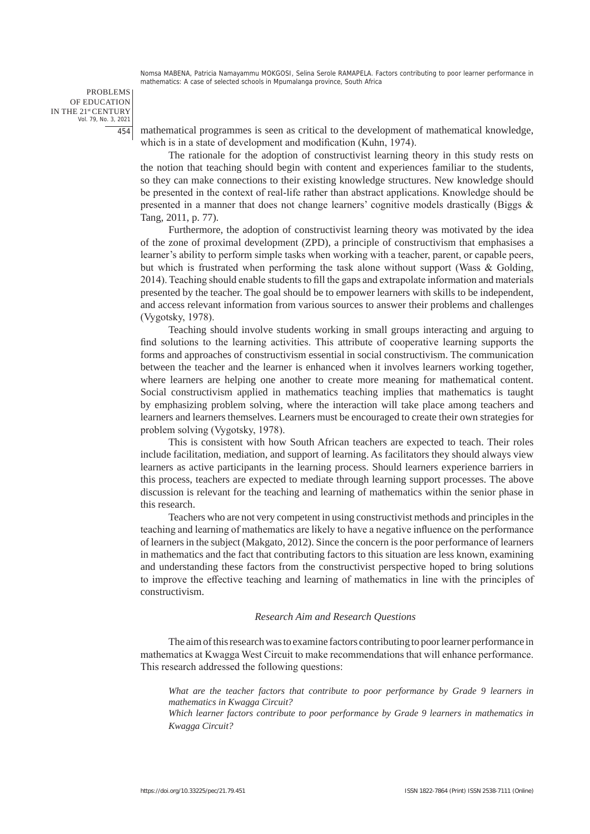PROBLEMS OF EDUCATION IN THE 21st CENTURY Vol. 79, No. 3, 2021 454

mathematical programmes is seen as critical to the development of mathematical knowledge, which is in a state of development and modification (Kuhn, 1974).

The rationale for the adoption of constructivist learning theory in this study rests on the notion that teaching should begin with content and experiences familiar to the students, so they can make connections to their existing knowledge structures. New knowledge should be presented in the context of real-life rather than abstract applications. Knowledge should be presented in a manner that does not change learners' cognitive models drastically (Biggs & Tang, 2011, p. 77).

Furthermore, the adoption of constructivist learning theory was motivated by the idea of the zone of proximal development (ZPD), a principle of constructivism that emphasises a learner's ability to perform simple tasks when working with a teacher, parent, or capable peers, but which is frustrated when performing the task alone without support (Wass & Golding, 2014). Teaching should enable students to fill the gaps and extrapolate information and materials presented by the teacher. The goal should be to empower learners with skills to be independent, and access relevant information from various sources to answer their problems and challenges (Vygotsky, 1978).

Teaching should involve students working in small groups interacting and arguing to find solutions to the learning activities. This attribute of cooperative learning supports the forms and approaches of constructivism essential in social constructivism. The communication between the teacher and the learner is enhanced when it involves learners working together, where learners are helping one another to create more meaning for mathematical content. Social constructivism applied in mathematics teaching implies that mathematics is taught by emphasizing problem solving, where the interaction will take place among teachers and learners and learners themselves. Learners must be encouraged to create their own strategies for problem solving (Vygotsky, 1978).

This is consistent with how South African teachers are expected to teach. Their roles include facilitation, mediation, and support of learning. As facilitators they should always view learners as active participants in the learning process. Should learners experience barriers in this process, teachers are expected to mediate through learning support processes. The above discussion is relevant for the teaching and learning of mathematics within the senior phase in this research.

Teachers who are not very competent in using constructivist methods and principles in the teaching and learning of mathematics are likely to have a negative influence on the performance of learners in the subject (Makgato, 2012). Since the concern is the poor performance of learners in mathematics and the fact that contributing factors to this situation are less known, examining and understanding these factors from the constructivist perspective hoped to bring solutions to improve the effective teaching and learning of mathematics in line with the principles of constructivism.

#### *Research Aim and Research Questions*

The aim of this research was to examine factors contributing to poor learner performance in mathematics at Kwagga West Circuit to make recommendations that will enhance performance. This research addressed the following questions:

*What are the teacher factors that contribute to poor performance by Grade 9 learners in mathematics in Kwagga Circuit?*

*Which learner factors contribute to poor performance by Grade 9 learners in mathematics in Kwagga Circuit?*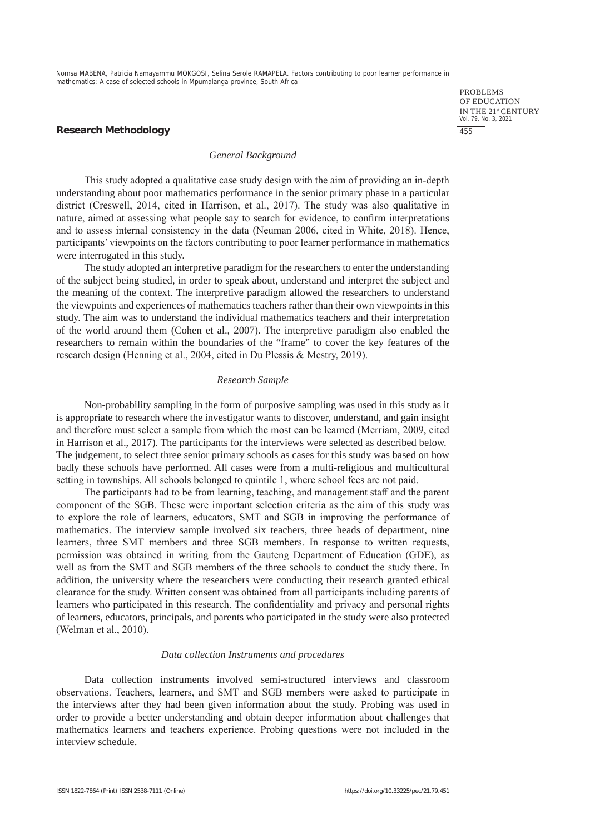> PROBLEMS OF EDUCATION IN THE 21st CENTURY Vol. 79, No. 3, 2021 455

#### **Research Methodology**

#### *General Background*

This study adopted a qualitative case study design with the aim of providing an in-depth understanding about poor mathematics performance in the senior primary phase in a particular district (Creswell, 2014, cited in Harrison, et al., 2017). The study was also qualitative in nature, aimed at assessing what people say to search for evidence, to confirm interpretations and to assess internal consistency in the data (Neuman 2006, cited in White, 2018). Hence, participants' viewpoints on the factors contributing to poor learner performance in mathematics were interrogated in this study.

The study adopted an interpretive paradigm for the researchers to enter the understanding of the subject being studied, in order to speak about, understand and interpret the subject and the meaning of the context. The interpretive paradigm allowed the researchers to understand the viewpoints and experiences of mathematics teachers rather than their own viewpoints in this study. The aim was to understand the individual mathematics teachers and their interpretation of the world around them (Cohen et al., 2007). The interpretive paradigm also enabled the researchers to remain within the boundaries of the "frame" to cover the key features of the research design (Henning et al., 2004, cited in Du Plessis & Mestry, 2019).

#### *Research Sample*

Non-probability sampling in the form of purposive sampling was used in this study as it is appropriate to research where the investigator wants to discover, understand, and gain insight and therefore must select a sample from which the most can be learned (Merriam, 2009, cited in Harrison et al., 2017). The participants for the interviews were selected as described below. The judgement, to select three senior primary schools as cases for this study was based on how badly these schools have performed. All cases were from a multi-religious and multicultural setting in townships. All schools belonged to quintile 1, where school fees are not paid.

The participants had to be from learning, teaching, and management staff and the parent component of the SGB. These were important selection criteria as the aim of this study was to explore the role of learners, educators, SMT and SGB in improving the performance of mathematics. The interview sample involved six teachers, three heads of department, nine learners, three SMT members and three SGB members. In response to written requests, permission was obtained in writing from the Gauteng Department of Education (GDE), as well as from the SMT and SGB members of the three schools to conduct the study there. In addition, the university where the researchers were conducting their research granted ethical clearance for the study. Written consent was obtained from all participants including parents of learners who participated in this research. The confidentiality and privacy and personal rights of learners, educators, principals, and parents who participated in the study were also protected (Welman et al., 2010).

#### *Data collection Instruments and procedures*

Data collection instruments involved semi-structured interviews and classroom observations. Teachers, learners, and SMT and SGB members were asked to participate in the interviews after they had been given information about the study. Probing was used in order to provide a better understanding and obtain deeper information about challenges that mathematics learners and teachers experience. Probing questions were not included in the interview schedule.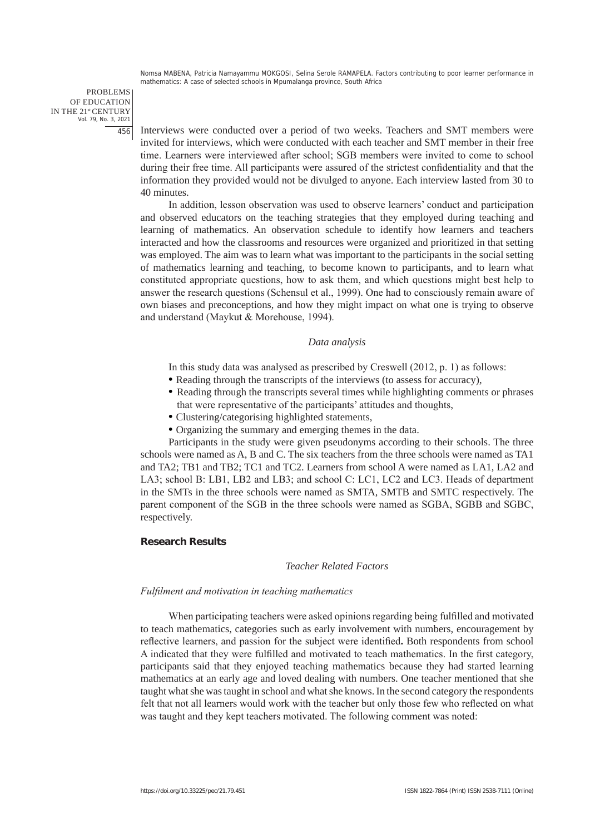PROBLEMS OF EDUCATION IN THE 21st CENTURY Vol. 79, No. 3, 2021 456

Interviews were conducted over a period of two weeks. Teachers and SMT members were invited for interviews, which were conducted with each teacher and SMT member in their free time. Learners were interviewed after school; SGB members were invited to come to school during their free time. All participants were assured of the strictest confidentiality and that the information they provided would not be divulged to anyone. Each interview lasted from 30 to 40 minutes.

In addition, lesson observation was used to observe learners' conduct and participation and observed educators on the teaching strategies that they employed during teaching and learning of mathematics. An observation schedule to identify how learners and teachers interacted and how the classrooms and resources were organized and prioritized in that setting was employed. The aim was to learn what was important to the participants in the social setting of mathematics learning and teaching, to become known to participants, and to learn what constituted appropriate questions, how to ask them, and which questions might best help to answer the research questions (Schensul et al., 1999). One had to consciously remain aware of own biases and preconceptions, and how they might impact on what one is trying to observe and understand (Maykut & Morehouse, 1994).

#### *Data analysis*

In this study data was analysed as prescribed by Creswell (2012, p. 1) as follows:

- Reading through the transcripts of the interviews (to assess for accuracy),
- Reading through the transcripts several times while highlighting comments or phrases that were representative of the participants' attitudes and thoughts,
- Clustering/categorising highlighted statements,
- Organizing the summary and emerging themes in the data.

Participants in the study were given pseudonyms according to their schools. The three schools were named as A, B and C. The six teachers from the three schools were named as TA1 and TA2; TB1 and TB2; TC1 and TC2. Learners from school A were named as LA1, LA2 and LA3; school B: LB1, LB2 and LB3; and school C: LC1, LC2 and LC3. Heads of department in the SMTs in the three schools were named as SMTA, SMTB and SMTC respectively. The parent component of the SGB in the three schools were named as SGBA, SGBB and SGBC, respectively.

#### **Research Results**

#### *Teacher Related Factors*

#### *Fulfilment and motivation in teaching mathematics*

When participating teachers were asked opinions regarding being fulfilled and motivated to teach mathematics, categories such as early involvement with numbers, encouragement by reflective learners, and passion for the subject were identified**.** Both respondents from school A indicated that they were fulfilled and motivated to teach mathematics. In the first category, participants said that they enjoyed teaching mathematics because they had started learning mathematics at an early age and loved dealing with numbers. One teacher mentioned that she taught what she was taught in school and what she knows. In the second category the respondents felt that not all learners would work with the teacher but only those few who reflected on what was taught and they kept teachers motivated. The following comment was noted: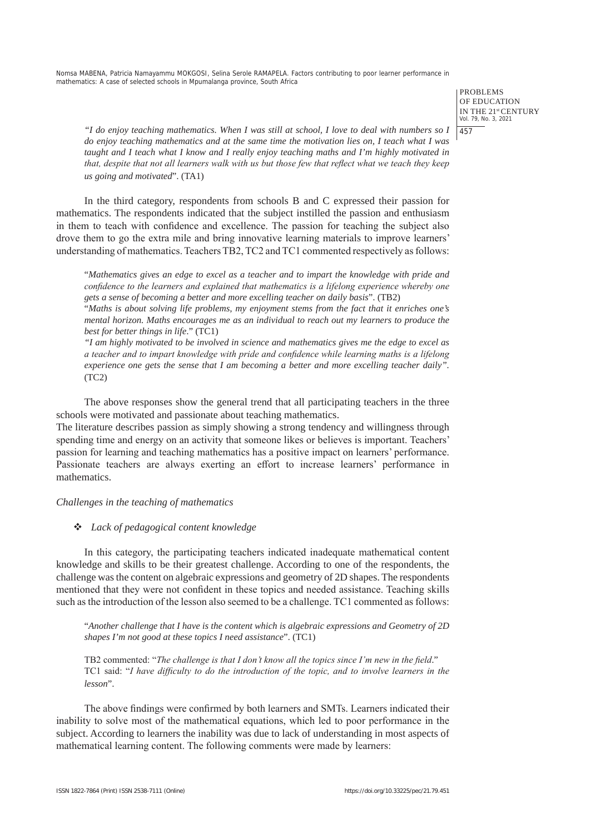> PROBLEMS OF EDUCATION IN THE 21st CENTURY Vol. 79, No. 3, 2021 457

*"I do enjoy teaching mathematics. When I was still at school, I love to deal with numbers so I do enjoy teaching mathematics and at the same time the motivation lies on, I teach what I was taught and I teach what I know and I really enjoy teaching maths and I'm highly motivated in that, despite that not all learners walk with us but those few that reflect what we teach they keep us going and motivated*". (TA1)

In the third category, respondents from schools B and C expressed their passion for mathematics. The respondents indicated that the subject instilled the passion and enthusiasm in them to teach with confidence and excellence. The passion for teaching the subject also drove them to go the extra mile and bring innovative learning materials to improve learners' understanding of mathematics. Teachers TB2, TC2 and TC1 commented respectively as follows:

"*Mathematics gives an edge to excel as a teacher and to impart the knowledge with pride and confidence to the learners and explained that mathematics is a lifelong experience whereby one gets a sense of becoming a better and more excelling teacher on daily basis*". (TB2)

"*Maths is about solving life problems, my enjoyment stems from the fact that it enriches one's mental horizon. Maths encourages me as an individual to reach out my learners to produce the best for better things in life*." (TC1)

*"I am highly motivated to be involved in science and mathematics gives me the edge to excel as a teacher and to impart knowledge with pride and confidence while learning maths is a lifelong experience one gets the sense that I am becoming a better and more excelling teacher daily".*   $(TC2)$ 

The above responses show the general trend that all participating teachers in the three schools were motivated and passionate about teaching mathematics.

The literature describes passion as simply showing a strong tendency and willingness through spending time and energy on an activity that someone likes or believes is important. Teachers' passion for learning and teaching mathematics has a positive impact on learners' performance. Passionate teachers are always exerting an effort to increase learners' performance in mathematics.

*Challenges in the teaching of mathematics*

## *Lack of pedagogical content knowledge*

In this category, the participating teachers indicated inadequate mathematical content knowledge and skills to be their greatest challenge. According to one of the respondents, the challenge was the content on algebraic expressions and geometry of 2D shapes. The respondents mentioned that they were not confident in these topics and needed assistance. Teaching skills such as the introduction of the lesson also seemed to be a challenge. TC1 commented as follows:

"*Another challenge that I have is the content which is algebraic expressions and Geometry of 2D shapes I'm not good at these topics I need assistance*". (TC1)

TB2 commented: "*The challenge is that I don't know all the topics since I'm new in the field*." TC1 said: "*I have difficulty to do the introduction of the topic, and to involve learners in the lesson*".

The above findings were confirmed by both learners and SMTs. Learners indicated their inability to solve most of the mathematical equations, which led to poor performance in the subject. According to learners the inability was due to lack of understanding in most aspects of mathematical learning content. The following comments were made by learners: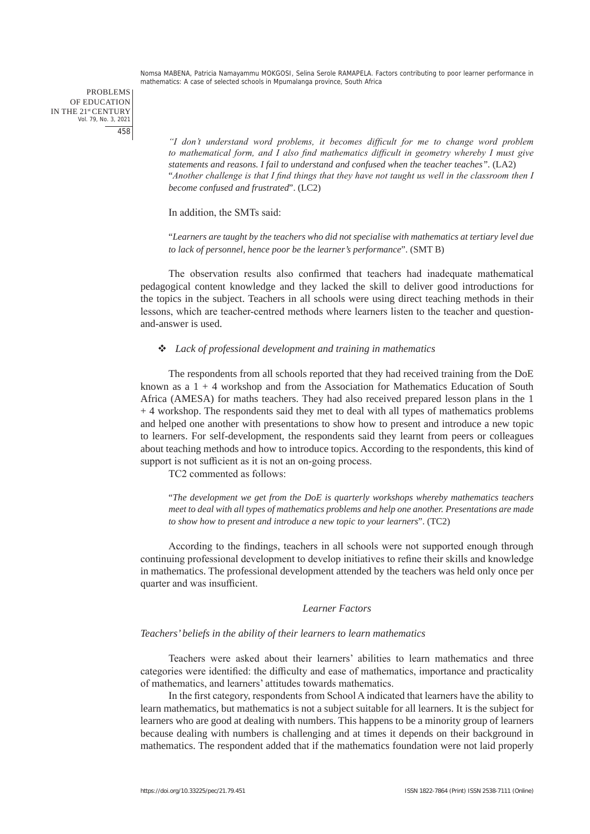*"I don't understand word problems, it becomes difficult for me to change word problem to mathematical form, and I also find mathematics difficult in geometry whereby I must give statements and reasons. I fail to understand and confused when the teacher teaches".* (LA2) "*Another challenge is that I find things that they have not taught us well in the classroom then I become confused and frustrated*". (LC2)

#### In addition, the SMTs said:

"*Learners are taught by the teachers who did not specialise with mathematics at tertiary level due to lack of personnel, hence poor be the learner's performance*". (SMT B)

The observation results also confirmed that teachers had inadequate mathematical pedagogical content knowledge and they lacked the skill to deliver good introductions for the topics in the subject. Teachers in all schools were using direct teaching methods in their lessons, which are teacher-centred methods where learners listen to the teacher and questionand-answer is used.

## *Lack of professional development and training in mathematics*

The respondents from all schools reported that they had received training from the DoE known as a  $1 + 4$  workshop and from the Association for Mathematics Education of South Africa (AMESA) for maths teachers. They had also received prepared lesson plans in the 1 + 4 workshop. The respondents said they met to deal with all types of mathematics problems and helped one another with presentations to show how to present and introduce a new topic to learners. For self-development, the respondents said they learnt from peers or colleagues about teaching methods and how to introduce topics. According to the respondents, this kind of support is not sufficient as it is not an on-going process.

TC2 commented as follows:

"*The development we get from the DoE is quarterly workshops whereby mathematics teachers meet to deal with all types of mathematics problems and help one another. Presentations are made to show how to present and introduce a new topic to your learners*". (TC2)

According to the findings, teachers in all schools were not supported enough through continuing professional development to develop initiatives to refine their skills and knowledge in mathematics. The professional development attended by the teachers was held only once per quarter and was insufficient.

#### *Learner Factors*

#### *Teachers' beliefs in the ability of their learners to learn mathematics*

Teachers were asked about their learners' abilities to learn mathematics and three categories were identified: the difficulty and ease of mathematics, importance and practicality of mathematics, and learners' attitudes towards mathematics.

In the first category, respondents from School A indicated that learners have the ability to learn mathematics, but mathematics is not a subject suitable for all learners. It is the subject for learners who are good at dealing with numbers. This happens to be a minority group of learners because dealing with numbers is challenging and at times it depends on their background in mathematics. The respondent added that if the mathematics foundation were not laid properly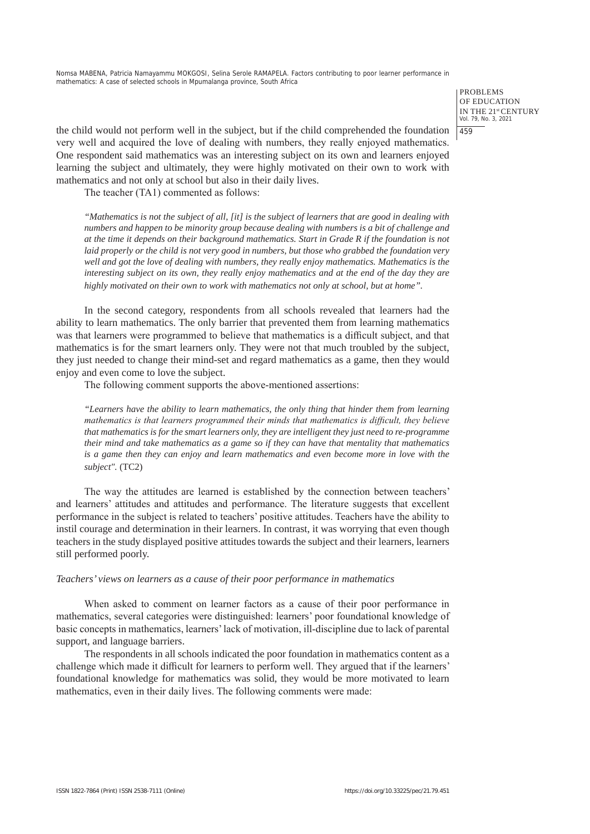> PROBLEMS OF EDUCATION IN THE 21st CENTURY Vol. 79, No. 3, 2021 459

the child would not perform well in the subject, but if the child comprehended the foundation very well and acquired the love of dealing with numbers, they really enjoyed mathematics. One respondent said mathematics was an interesting subject on its own and learners enjoyed learning the subject and ultimately, they were highly motivated on their own to work with mathematics and not only at school but also in their daily lives.

The teacher (TA1) commented as follows:

*"Mathematics is not the subject of all, [it] is the subject of learners that are good in dealing with numbers and happen to be minority group because dealing with numbers is a bit of challenge and at the time it depends on their background mathematics. Start in Grade R if the foundation is not laid properly or the child is not very good in numbers, but those who grabbed the foundation very well and got the love of dealing with numbers, they really enjoy mathematics. Mathematics is the interesting subject on its own, they really enjoy mathematics and at the end of the day they are highly motivated on their own to work with mathematics not only at school, but at home".* 

In the second category, respondents from all schools revealed that learners had the ability to learn mathematics. The only barrier that prevented them from learning mathematics was that learners were programmed to believe that mathematics is a difficult subject, and that mathematics is for the smart learners only. They were not that much troubled by the subject, they just needed to change their mind-set and regard mathematics as a game, then they would enjoy and even come to love the subject.

The following comment supports the above-mentioned assertions:

*"Learners have the ability to learn mathematics, the only thing that hinder them from learning mathematics is that learners programmed their minds that mathematics is difficult, they believe that mathematics is for the smart learners only, they are intelligent they just need to re-programme their mind and take mathematics as a game so if they can have that mentality that mathematics is a game then they can enjoy and learn mathematics and even become more in love with the subject".* (TC2)

The way the attitudes are learned is established by the connection between teachers' and learners' attitudes and attitudes and performance. The literature suggests that excellent performance in the subject is related to teachers' positive attitudes. Teachers have the ability to instil courage and determination in their learners. In contrast, it was worrying that even though teachers in the study displayed positive attitudes towards the subject and their learners, learners still performed poorly.

#### *Teachers' views on learners as a cause of their poor performance in mathematics*

When asked to comment on learner factors as a cause of their poor performance in mathematics, several categories were distinguished: learners' poor foundational knowledge of basic concepts in mathematics, learners' lack of motivation, ill-discipline due to lack of parental support, and language barriers.

The respondents in all schools indicated the poor foundation in mathematics content as a challenge which made it difficult for learners to perform well. They argued that if the learners' foundational knowledge for mathematics was solid, they would be more motivated to learn mathematics, even in their daily lives. The following comments were made: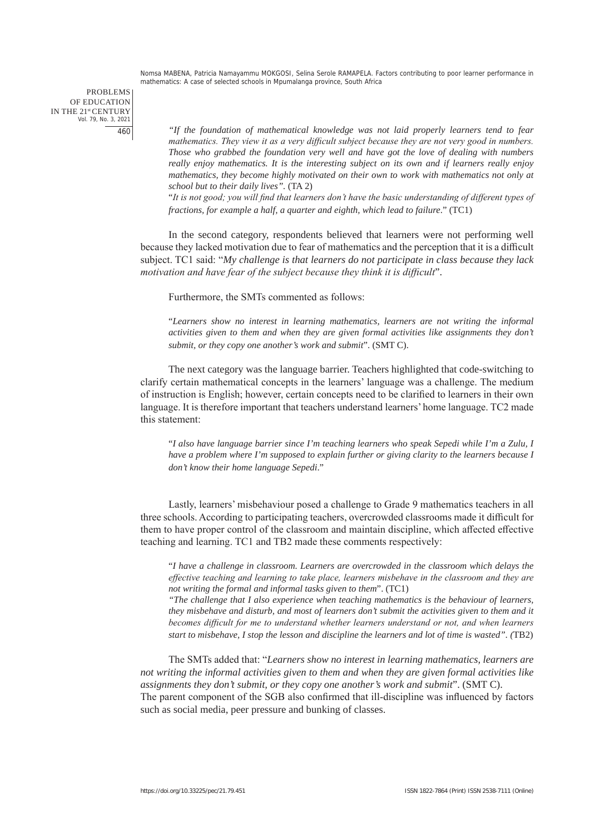PROBLEMS OF EDUCATION IN THE 21st CENTURY Vol. 79, No. 3, 2021 460

*"If the foundation of mathematical knowledge was not laid properly learners tend to fear mathematics. They view it as a very difficult subject because they are not very good in numbers. Those who grabbed the foundation very well and have got the love of dealing with numbers really enjoy mathematics. It is the interesting subject on its own and if learners really enjoy mathematics, they become highly motivated on their own to work with mathematics not only at school but to their daily lives".* (TA 2)

"*It is not good; you will find that learners don't have the basic understanding of different types of fractions, for example a half, a quarter and eighth, which lead to failure*." (TC1)

In the second category, respondents believed that learners were not performing well because they lacked motivation due to fear of mathematics and the perception that it is a difficult subject. TC1 said: "*My challenge is that learners do not participate in class because they lack motivation and have fear of the subject because they think it is difficult*".

Furthermore, the SMTs commented as follows:

"*Learners show no interest in learning mathematics, learners are not writing the informal activities given to them and when they are given formal activities like assignments they don't submit, or they copy one another's work and submit*". (SMT C).

The next category was the language barrier. Teachers highlighted that code-switching to clarify certain mathematical concepts in the learners' language was a challenge. The medium of instruction is English; however, certain concepts need to be clarified to learners in their own language. It is therefore important that teachers understand learners' home language. TC2 made this statement:

"*I also have language barrier since I'm teaching learners who speak Sepedi while I'm a Zulu, I have a problem where I'm supposed to explain further or giving clarity to the learners because I don't know their home language Sepedi*."

Lastly, learners' misbehaviour posed a challenge to Grade 9 mathematics teachers in all three schools. According to participating teachers, overcrowded classrooms made it difficult for them to have proper control of the classroom and maintain discipline, which affected effective teaching and learning. TC1 and TB2 made these comments respectively:

"*I have a challenge in classroom. Learners are overcrowded in the classroom which delays the effective teaching and learning to take place, learners misbehave in the classroom and they are not writing the formal and informal tasks given to them*". (TC1)

*"The challenge that I also experience when teaching mathematics is the behaviour of learners, they misbehave and disturb, and most of learners don't submit the activities given to them and it becomes difficult for me to understand whether learners understand or not, and when learners start to misbehave, I stop the lesson and discipline the learners and lot of time is wasted". (*TB2)

The SMTs added that: "*Learners show no interest in learning mathematics, learners are not writing the informal activities given to them and when they are given formal activities like assignments they don't submit, or they copy one another's work and submit*". (SMT C). The parent component of the SGB also confirmed that ill-discipline was influenced by factors such as social media, peer pressure and bunking of classes.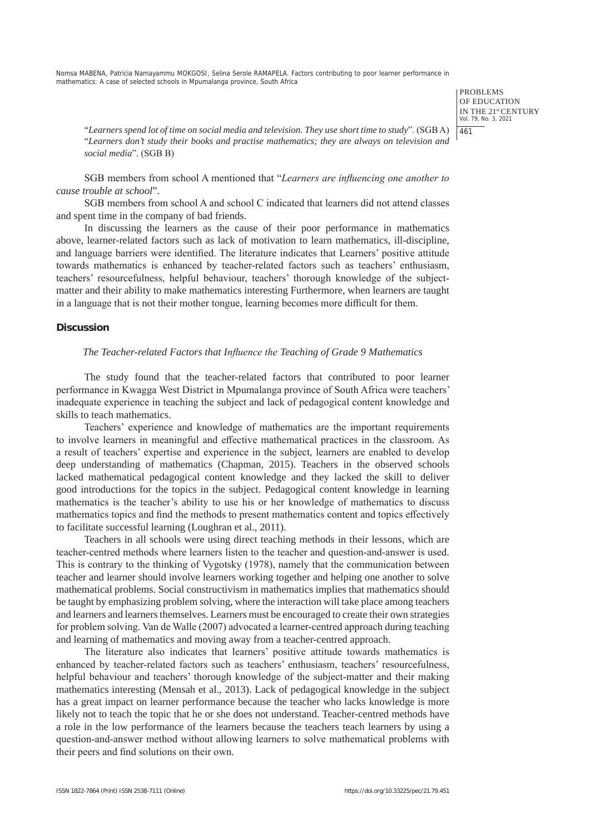> PROBLEMS OF EDUCATION IN THE 21st CENTURY Vol. 79, No. 3, 2021 461

"*Learners spend lot of time on social media and television. They use short time to study*". (SGB A) "*Learners don't study their books and practise mathematics; they are always on television and social media*". (SGB B)

SGB members from school A mentioned that "*Learners are influencing one another to cause trouble at school*".

SGB members from school A and school C indicated that learners did not attend classes and spent time in the company of bad friends.

In discussing the learners as the cause of their poor performance in mathematics above, learner-related factors such as lack of motivation to learn mathematics, ill-discipline, and language barriers were identified. The literature indicates that Learners' positive attitude towards mathematics is enhanced by teacher-related factors such as teachers' enthusiasm, teachers' resourcefulness, helpful behaviour, teachers' thorough knowledge of the subjectmatter and their ability to make mathematics interesting Furthermore, when learners are taught in a language that is not their mother tongue, learning becomes more difficult for them.

#### **Discussion**

## *The Teacher-related Factors that Influence the Teaching of Grade 9 Mathematics*

The study found that the teacher-related factors that contributed to poor learner performance in Kwagga West District in Mpumalanga province of South Africa were teachers' inadequate experience in teaching the subject and lack of pedagogical content knowledge and skills to teach mathematics.

Teachers' experience and knowledge of mathematics are the important requirements to involve learners in meaningful and effective mathematical practices in the classroom. As a result of teachers' expertise and experience in the subject, learners are enabled to develop deep understanding of mathematics (Chapman, 2015). Teachers in the observed schools lacked mathematical pedagogical content knowledge and they lacked the skill to deliver good introductions for the topics in the subject. Pedagogical content knowledge in learning mathematics is the teacher's ability to use his or her knowledge of mathematics to discuss mathematics topics and find the methods to present mathematics content and topics effectively to facilitate successful learning (Loughran et al., 2011).

Teachers in all schools were using direct teaching methods in their lessons, which are teacher-centred methods where learners listen to the teacher and question-and-answer is used. This is contrary to the thinking of Vygotsky (1978), namely that the communication between teacher and learner should involve learners working together and helping one another to solve mathematical problems. Social constructivism in mathematics implies that mathematics should be taught by emphasizing problem solving, where the interaction will take place among teachers and learners and learners themselves. Learners must be encouraged to create their own strategies for problem solving. Van de Walle (2007) advocated a learner-centred approach during teaching and learning of mathematics and moving away from a teacher-centred approach.

The literature also indicates that learners' positive attitude towards mathematics is enhanced by teacher-related factors such as teachers' enthusiasm, teachers' resourcefulness, helpful behaviour and teachers' thorough knowledge of the subject-matter and their making mathematics interesting (Mensah et al., 2013). Lack of pedagogical knowledge in the subject has a great impact on learner performance because the teacher who lacks knowledge is more likely not to teach the topic that he or she does not understand. Teacher-centred methods have a role in the low performance of the learners because the teachers teach learners by using a question-and-answer method without allowing learners to solve mathematical problems with their peers and find solutions on their own.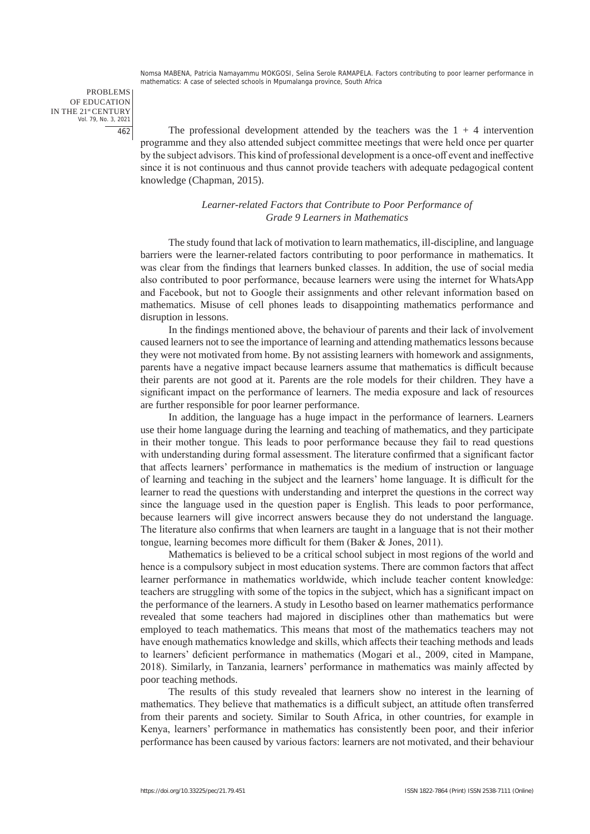PROBLEMS OF EDUCATION IN THE 21st CENTURY Vol. 79, No. 3, 2021 462

The professional development attended by the teachers was the  $1 + 4$  intervention programme and they also attended subject committee meetings that were held once per quarter by the subject advisors. This kind of professional development is a once-off event and ineffective since it is not continuous and thus cannot provide teachers with adequate pedagogical content knowledge (Chapman, 2015).

## *Learner-related Factors that Contribute to Poor Performance of Grade 9 Learners in Mathematics*

The study found that lack of motivation to learn mathematics, ill-discipline, and language barriers were the learner-related factors contributing to poor performance in mathematics. It was clear from the findings that learners bunked classes. In addition, the use of social media also contributed to poor performance, because learners were using the internet for WhatsApp and Facebook, but not to Google their assignments and other relevant information based on mathematics. Misuse of cell phones leads to disappointing mathematics performance and disruption in lessons.

In the findings mentioned above, the behaviour of parents and their lack of involvement caused learners not to see the importance of learning and attending mathematics lessons because they were not motivated from home. By not assisting learners with homework and assignments, parents have a negative impact because learners assume that mathematics is difficult because their parents are not good at it. Parents are the role models for their children. They have a significant impact on the performance of learners. The media exposure and lack of resources are further responsible for poor learner performance.

In addition, the language has a huge impact in the performance of learners. Learners use their home language during the learning and teaching of mathematics, and they participate in their mother tongue. This leads to poor performance because they fail to read questions with understanding during formal assessment. The literature confirmed that a significant factor that affects learners' performance in mathematics is the medium of instruction or language of learning and teaching in the subject and the learners' home language. It is difficult for the learner to read the questions with understanding and interpret the questions in the correct way since the language used in the question paper is English. This leads to poor performance, because learners will give incorrect answers because they do not understand the language. The literature also confirms that when learners are taught in a language that is not their mother tongue, learning becomes more difficult for them (Baker & Jones, 2011).

Mathematics is believed to be a critical school subject in most regions of the world and hence is a compulsory subject in most education systems. There are common factors that affect learner performance in mathematics worldwide, which include teacher content knowledge: teachers are struggling with some of the topics in the subject, which has a significant impact on the performance of the learners. A study in Lesotho based on learner mathematics performance revealed that some teachers had majored in disciplines other than mathematics but were employed to teach mathematics. This means that most of the mathematics teachers may not have enough mathematics knowledge and skills, which affects their teaching methods and leads to learners' deficient performance in mathematics (Mogari et al., 2009, cited in Mampane, 2018). Similarly, in Tanzania, learners' performance in mathematics was mainly affected by poor teaching methods.

The results of this study revealed that learners show no interest in the learning of mathematics. They believe that mathematics is a difficult subject, an attitude often transferred from their parents and society. Similar to South Africa, in other countries, for example in Kenya, learners' performance in mathematics has consistently been poor, and their inferior performance has been caused by various factors: learners are not motivated, and their behaviour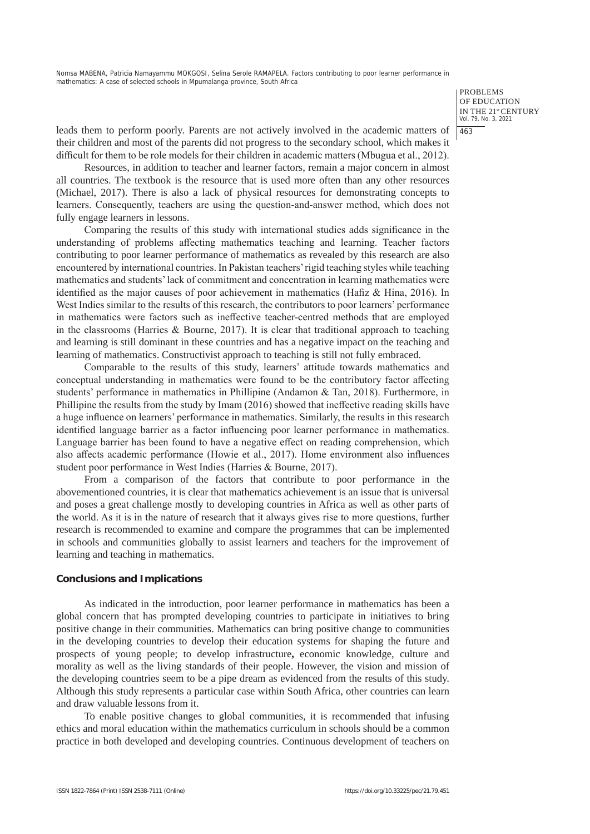> PROBLEMS OF EDUCATION IN THE 21st CENTURY Vol. 79, No. 3, 2021 463

leads them to perform poorly. Parents are not actively involved in the academic matters of their children and most of the parents did not progress to the secondary school, which makes it difficult for them to be role models for their children in academic matters (Mbugua et al., 2012).

Resources, in addition to teacher and learner factors, remain a major concern in almost all countries. The textbook is the resource that is used more often than any other resources (Michael, 2017). There is also a lack of physical resources for demonstrating concepts to learners. Consequently, teachers are using the question-and-answer method, which does not fully engage learners in lessons.

Comparing the results of this study with international studies adds significance in the understanding of problems affecting mathematics teaching and learning. Teacher factors contributing to poor learner performance of mathematics as revealed by this research are also encountered by international countries. In Pakistan teachers' rigid teaching styles while teaching mathematics and students' lack of commitment and concentration in learning mathematics were identified as the major causes of poor achievement in mathematics (Hafiz & Hina, 2016). In West Indies similar to the results of this research, the contributors to poor learners' performance in mathematics were factors such as ineffective teacher-centred methods that are employed in the classrooms (Harries  $&$  Bourne, 2017). It is clear that traditional approach to teaching and learning is still dominant in these countries and has a negative impact on the teaching and learning of mathematics. Constructivist approach to teaching is still not fully embraced.

Comparable to the results of this study, learners' attitude towards mathematics and conceptual understanding in mathematics were found to be the contributory factor affecting students' performance in mathematics in Phillipine (Andamon & Tan, 2018). Furthermore, in Phillipine the results from the study by Imam (2016) showed that ineffective reading skills have a huge influence on learners' performance in mathematics. Similarly, the results in this research identified language barrier as a factor influencing poor learner performance in mathematics. Language barrier has been found to have a negative effect on reading comprehension, which also affects academic performance (Howie et al., 2017). Home environment also influences student poor performance in West Indies (Harries & Bourne, 2017).

From a comparison of the factors that contribute to poor performance in the abovementioned countries, it is clear that mathematics achievement is an issue that is universal and poses a great challenge mostly to developing countries in Africa as well as other parts of the world. As it is in the nature of research that it always gives rise to more questions, further research is recommended to examine and compare the programmes that can be implemented in schools and communities globally to assist learners and teachers for the improvement of learning and teaching in mathematics.

#### **Conclusions and Implications**

As indicated in the introduction, poor learner performance in mathematics has been a global concern that has prompted developing countries to participate in initiatives to bring positive change in their communities. Mathematics can bring positive change to communities in the developing countries to develop their education systems for shaping the future and prospects of young people; to develop infrastructure**,** economic knowledge, culture and morality as well as the living standards of their people. However, the vision and mission of the developing countries seem to be a pipe dream as evidenced from the results of this study. Although this study represents a particular case within South Africa, other countries can learn and draw valuable lessons from it.

To enable positive changes to global communities, it is recommended that infusing ethics and moral education within the mathematics curriculum in schools should be a common practice in both developed and developing countries. Continuous development of teachers on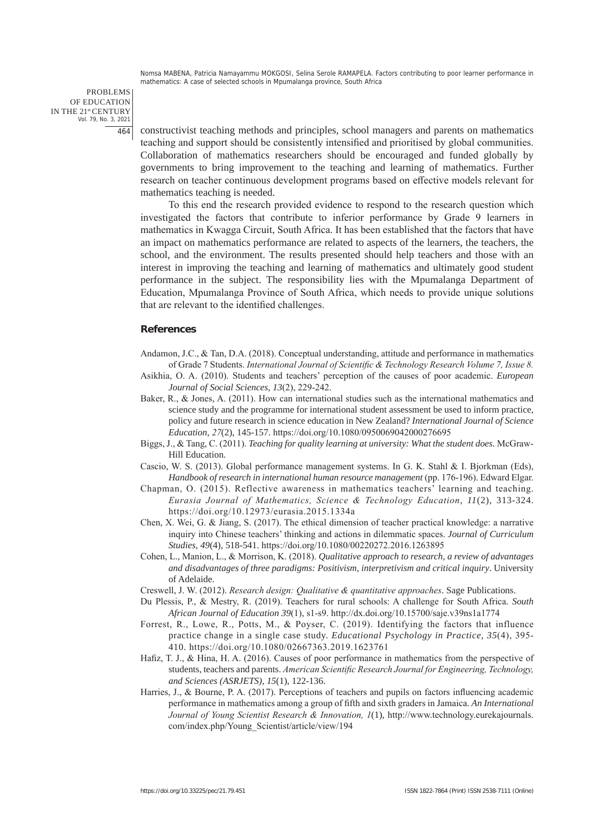PROBLEMS OF EDUCATION IN THE 21st CENTURY Vol. 79, No. 3, 2021 464

constructivist teaching methods and principles, school managers and parents on mathematics teaching and support should be consistently intensified and prioritised by global communities. Collaboration of mathematics researchers should be encouraged and funded globally by governments to bring improvement to the teaching and learning of mathematics. Further research on teacher continuous development programs based on effective models relevant for mathematics teaching is needed.

To this end the research provided evidence to respond to the research question which investigated the factors that contribute to inferior performance by Grade 9 learners in mathematics in Kwagga Circuit, South Africa. It has been established that the factors that have an impact on mathematics performance are related to aspects of the learners, the teachers, the school, and the environment. The results presented should help teachers and those with an interest in improving the teaching and learning of mathematics and ultimately good student performance in the subject. The responsibility lies with the Mpumalanga Department of Education, Mpumalanga Province of South Africa, which needs to provide unique solutions that are relevant to the identified challenges.

## **References**

Andamon, J.C., & Tan, D.A. (2018). Conceptual understanding, attitude and performance in mathematics of Grade 7 Students. *International Journal of Scientific & Technology Research Volume 7, Issue 8.*

- Asikhia, O. A. (2010). Students and teachers' perception of the causes of poor academic. *European Journal of Social Sciences*, *13*(2), 229-242.
- Baker, R., & Jones, A. (2011). How can international studies such as the international mathematics and science study and the programme for international student assessment be used to inform practice, policy and future research in science education in New Zealand? *International Journal of Science Education*, *27*(2), 145-157. https://doi.org/10.1080/0950069042000276695
- Biggs, J., & Tang, C. (2011). *Teaching for quality learning at university: What the student does.* McGraw-Hill Education.
- Cascio, W. S. (2013). Global performance management systems. In G. K. Stahl & I. Bjorkman (Eds), *Handbook of research in international human resource management* (pp. 176-196). Edward Elgar.
- Chapman, O. (2015). Reflective awareness in mathematics teachers' learning and teaching. *Eurasia Journal of Mathematics, Science & Technology Education*, *11*(2), 313-324. https://doi.org/10.12973/eurasia.2015.1334a
- Chen, X. Wei, G. & Jiang, S. (2017). The ethical dimension of teacher practical knowledge: a narrative inquiry into Chinese teachers' thinking and actions in dilemmatic spaces. *Journal of Curriculum Studies*, *49*(4), 518-541. https://doi.org/10.1080/00220272.2016.1263895
- Cohen, L., Manion, L., & Morrison, K. (2018). *Qualitative approach to research, a review of advantages and disadvantages of three paradigms: Positivism, interpretivism and critical inquiry*. University of Adelaide.
- Creswell, J. W. (2012). *Research design: Qualitative & quantitative approaches*. Sage Publications.
- Du Plessis, P., & Mestry, R. (2019). Teachers for rural schools: A challenge for South Africa. *South African Journal of Education 39*(1), s1-s9. http://dx.doi.org/10.15700/saje.v39ns1a1774
- Forrest, R., Lowe, R., Potts, M., & Poyser, C. (2019). Identifying the factors that influence practice change in a single case study. *Educational Psychology in Practice, 35*(4), 395- 410. https://doi.org/10.1080/02667363.2019.1623761
- Hafiz, T. J., & Hina, H. A. (2016). Causes of poor performance in mathematics from the perspective of students, teachers and parents. *American Scientific Research Journal for Engineering, Technology, and Sciences (ASRJETS)*, *15*(1), 122-136.
- Harries, J., & Bourne, P. A. (2017). Perceptions of teachers and pupils on factors influencing academic performance in mathematics among a group of fifth and sixth graders in Jamaica. *An International Journal of Young Scientist Research & Innovation, 1*(1), http://www.technology.eurekajournals. com/index.php/Young\_Scientist/article/view/194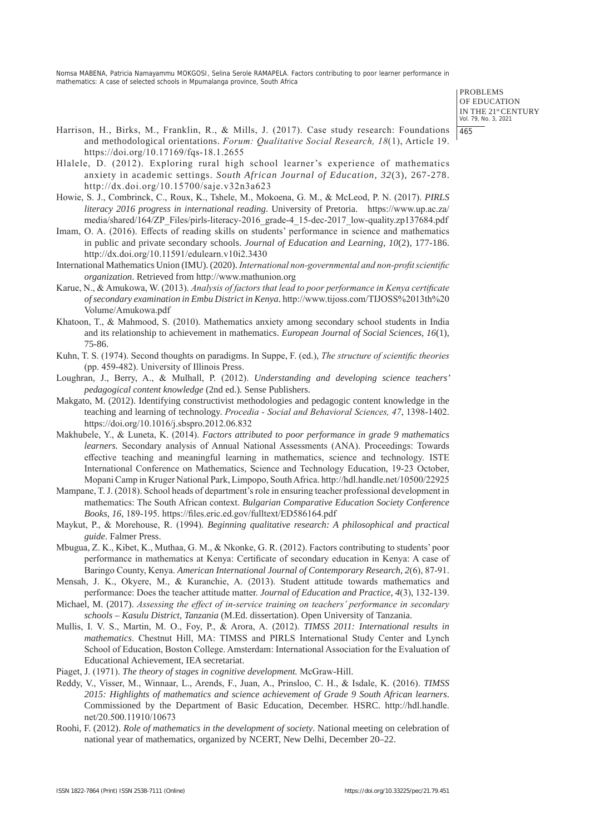> PROBLEMS OF EDUCATION IN THE 21st CENTURY Vol. 79, No. 3, 2021 465

- Harrison, H., Birks, M., Franklin, R., & Mills, J. (2017). Case study research: Foundations and methodological orientations. *Forum: Qualitative Social Research, 18*(1), Article 19. https://doi.org/10.17169/fqs-18.1.2655
- Hlalele, D. (2012). Exploring rural high school learner's experience of mathematics anxiety in academic settings. *South African Journal of Education, 32*(3), 267-278. http://dx.doi.org/10.15700/saje.v32n3a623
- Howie, S. J., Combrinck, C., Roux, K., Tshele, M., Mokoena, G. M., & McLeod, P. N. (2017). *PIRLS literacy 2016 progress in international reading*. University of Pretoria. https://www.up.ac.za/ media/shared/164/ZP\_Files/pirls-literacy-2016\_grade-4\_15-dec-2017\_low-quality.zp137684.pdf
- Imam, O. A. (2016). Effects of reading skills on students' performance in science and mathematics in public and private secondary schools. *Journal of Education and Learning*, *10*(2), 177-186. http://dx.doi.org/10.11591/edulearn.v10i2.3430
- International Mathematics Union (IMU). (2020). *International non-governmental and non-profit scientific organization*. Retrieved from http://www.mathunion.org
- Karue, N., & Amukowa, W. (2013). *Analysis of factors that lead to poor performance in Kenya certificate of secondary examination in Embu District in Kenya*. http://www.tijoss.com/TIJOSS%2013th%20 Volume/Amukowa.pdf
- Khatoon, T., & Mahmood, S. (2010). Mathematics anxiety among secondary school students in India and its relationship to achievement in mathematics. *European Journal of Social Sciences, 16*(1), 75-86.
- Kuhn, T. S. (1974). Second thoughts on paradigms. In Suppe, F. (ed.), *The structure of scientific theories* (pp. 459-482). University of Illinois Press.
- Loughran, J., Berry, A., & Mulhall, P. (2012). *Understanding and developing science teachers' pedagogical content knowledge* (2nd ed.). Sense Publishers.
- Makgato, M. (2012). Identifying constructivist methodologies and pedagogic content knowledge in the teaching and learning of technology. *Procedia - Social and Behavioral Sciences, 47*, 1398-1402. https://doi.org/10.1016/j.sbspro.2012.06.832
- Makhubele, Y., & Luneta, K. (2014). *Factors attributed to poor performance in grade 9 mathematics learners.* Secondary analysis of Annual National Assessments (ANA). Proceedings: Towards effective teaching and meaningful learning in mathematics, science and technology. ISTE International Conference on Mathematics, Science and Technology Education, 19-23 October, Mopani Camp in Kruger National Park, Limpopo, South Africa. http://hdl.handle.net/10500/22925
- Mampane, T. J. (2018). School heads of department's role in ensuring teacher professional development in mathematics: The South African context. *Bulgarian Comparative Education Society Conference Books, 16,* 189-195. https://files.eric.ed.gov/fulltext/ED586164.pdf
- Maykut, P., & Morehouse, R. (1994). *Beginning qualitative research: A philosophical and practical guide*. Falmer Press.
- Mbugua, Z. K., Kibet, K., Muthaa, G. M., & Nkonke, G. R. (2012). Factors contributing to students' poor performance in mathematics at Kenya: Certificate of secondary education in Kenya: A case of Baringo County, Kenya. *American International Journal of Contemporary Research*, *2*(6), 87-91.
- Mensah, J. K., Okyere, M., & Kuranchie, A. (2013). Student attitude towards mathematics and performance: Does the teacher attitude matter. *Journal of Education and Practice*, *4*(3), 132-139.
- Michael, M. (2017). *Assessing the effect of in-service training on teachers' performance in secondary schools – Kasulu District, Tanzania* (M.Ed. dissertation). Open University of Tanzania.
- Mullis, I. V. S., Martin, M. O., Foy, P., & Arora, A. (2012). *TIMSS 2011: International results in mathematics*. Chestnut Hill, MA: TIMSS and PIRLS International Study Center and Lynch School of Education, Boston College. Amsterdam: International Association for the Evaluation of Educational Achievement, IEA secretariat.
- Piaget, J. (1971). *The theory of stages in cognitive development.* McGraw-Hill.
- Reddy, V., Visser, M., Winnaar, L., Arends, F., Juan, A., Prinsloo, C. H., & Isdale, K. (2016). *TIMSS 2015: Highlights of mathematics and science achievement of Grade 9 South African learners*. Commissioned by the Department of Basic Education, December. HSRC. http://hdl.handle. net/20.500.11910/10673
- Roohi, F. (2012). *Role of mathematics in the development of society*. National meeting on celebration of national year of mathematics, organized by NCERT, New Delhi, December 20–22.